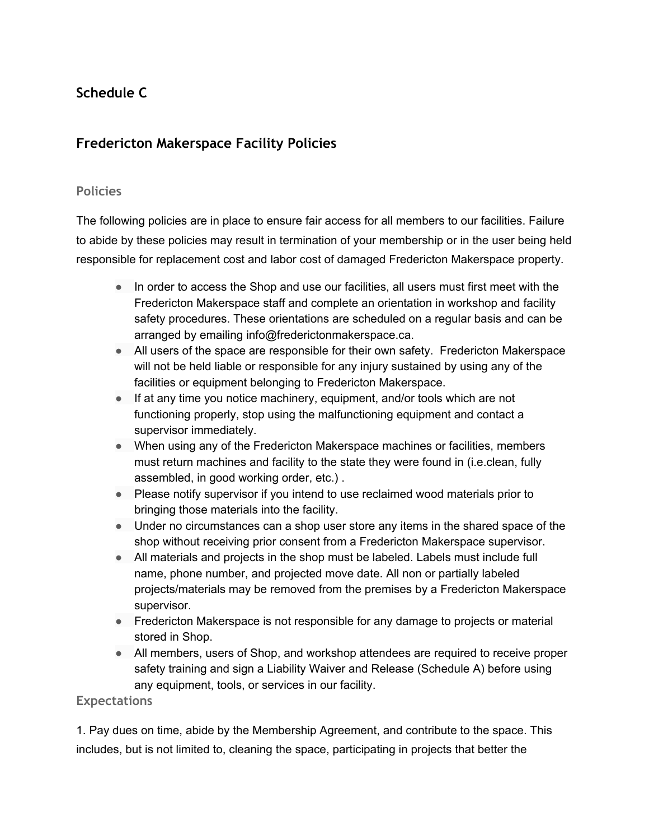# **Schedule C**

# **Fredericton Makerspace Facility Policies**

#### **Policies**

The following policies are in place to ensure fair access for all members to our facilities. Failure to abide by these policies may result in termination of your membership or in the user being held responsible for replacement cost and labor cost of damaged Fredericton Makerspace property.

- In order to access the Shop and use our facilities, all users must first meet with the Fredericton Makerspace staff and complete an orientation in workshop and facility safety procedures. These orientations are scheduled on a regular basis and can be arranged by emailing info@frederictonmakerspace.ca.
- All users of the space are responsible for their own safety. Fredericton Makerspace will not be held liable or responsible for any injury sustained by using any of the facilities or equipment belonging to Fredericton Makerspace.
- If at any time you notice machinery, equipment, and/or tools which are not functioning properly, stop using the malfunctioning equipment and contact a supervisor immediately.
- When using any of the Fredericton Makerspace machines or facilities, members must return machines and facility to the state they were found in (i.e.clean, fully assembled, in good working order, etc.) .
- Please notify supervisor if you intend to use reclaimed wood materials prior to bringing those materials into the facility.
- Under no circumstances can a shop user store any items in the shared space of the shop without receiving prior consent from a Fredericton Makerspace supervisor.
- All materials and projects in the shop must be labeled. Labels must include full name, phone number, and projected move date. All non or partially labeled projects/materials may be removed from the premises by a Fredericton Makerspace supervisor.
- Fredericton Makerspace is not responsible for any damage to projects or material stored in Shop.
- All members, users of Shop, and workshop attendees are required to receive proper safety training and sign a Liability Waiver and Release (Schedule A) before using any equipment, tools, or services in our facility.

#### **Expectations**

1. Pay dues on time, abide by the Membership Agreement, and contribute to the space. This includes, but is not limited to, cleaning the space, participating in projects that better the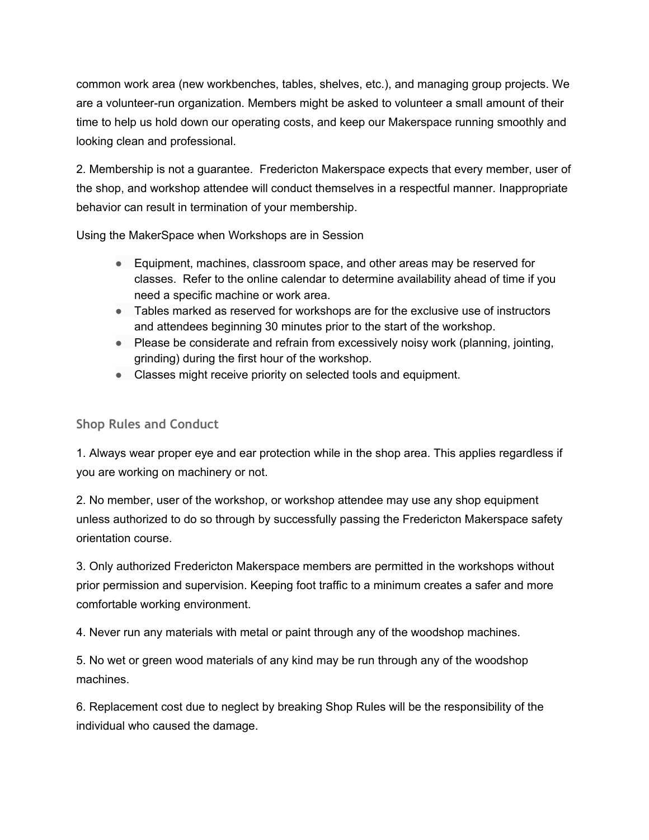common work area (new workbenches, tables, shelves, etc.), and managing group projects. We are a volunteer-run organization. Members might be asked to volunteer a small amount of their time to help us hold down our operating costs, and keep our Makerspace running smoothly and looking clean and professional.

2. Membership is not a guarantee. Fredericton Makerspace expects that every member, user of the shop, and workshop attendee will conduct themselves in a respectful manner. Inappropriate behavior can result in termination of your membership.

Using the MakerSpace when Workshops are in Session

- Equipment, machines, classroom space, and other areas may be reserved for classes. Refer to the online calendar to determine availability ahead of time if you need a specific machine or work area.
- Tables marked as reserved for workshops are for the exclusive use of instructors and attendees beginning 30 minutes prior to the start of the workshop.
- Please be considerate and refrain from excessively noisy work (planning, jointing, grinding) during the first hour of the workshop.
- Classes might receive priority on selected tools and equipment.

## **Shop Rules and Conduct**

1. Always wear proper eye and ear protection while in the shop area. This applies regardless if you are working on machinery or not.

2. No member, user of the workshop, or workshop attendee may use any shop equipment unless authorized to do so through by successfully passing the Fredericton Makerspace safety orientation course.

3. Only authorized Fredericton Makerspace members are permitted in the workshops without prior permission and supervision. Keeping foot traffic to a minimum creates a safer and more comfortable working environment.

4. Never run any materials with metal or paint through any of the woodshop machines.

5. No wet or green wood materials of any kind may be run through any of the woodshop machines.

6. Replacement cost due to neglect by breaking Shop Rules will be the responsibility of the individual who caused the damage.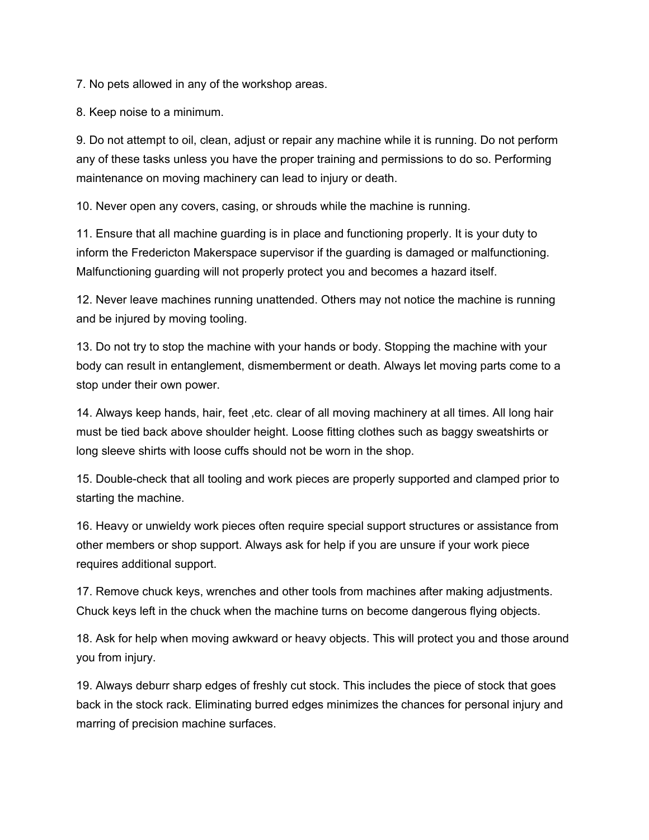7. No pets allowed in any of the workshop areas.

8. Keep noise to a minimum.

9. Do not attempt to oil, clean, adjust or repair any machine while it is running. Do not perform any of these tasks unless you have the proper training and permissions to do so. Performing maintenance on moving machinery can lead to injury or death.

10. Never open any covers, casing, or shrouds while the machine is running.

11. Ensure that all machine guarding is in place and functioning properly. It is your duty to inform the Fredericton Makerspace supervisor if the guarding is damaged or malfunctioning. Malfunctioning guarding will not properly protect you and becomes a hazard itself.

12. Never leave machines running unattended. Others may not notice the machine is running and be injured by moving tooling.

13. Do not try to stop the machine with your hands or body. Stopping the machine with your body can result in entanglement, dismemberment or death. Always let moving parts come to a stop under their own power.

14. Always keep hands, hair, feet ,etc. clear of all moving machinery at all times. All long hair must be tied back above shoulder height. Loose fitting clothes such as baggy sweatshirts or long sleeve shirts with loose cuffs should not be worn in the shop.

15. Double-check that all tooling and work pieces are properly supported and clamped prior to starting the machine.

16. Heavy or unwieldy work pieces often require special support structures or assistance from other members or shop support. Always ask for help if you are unsure if your work piece requires additional support.

17. Remove chuck keys, wrenches and other tools from machines after making adjustments. Chuck keys left in the chuck when the machine turns on become dangerous flying objects.

18. Ask for help when moving awkward or heavy objects. This will protect you and those around you from injury.

19. Always deburr sharp edges of freshly cut stock. This includes the piece of stock that goes back in the stock rack. Eliminating burred edges minimizes the chances for personal injury and marring of precision machine surfaces.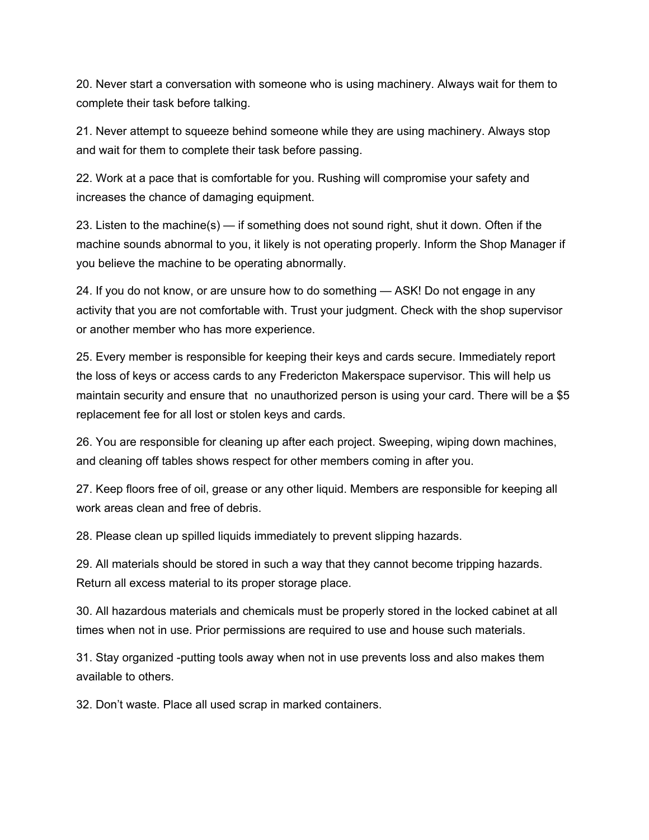20. Never start a conversation with someone who is using machinery. Always wait for them to complete their task before talking.

21. Never attempt to squeeze behind someone while they are using machinery. Always stop and wait for them to complete their task before passing.

22. Work at a pace that is comfortable for you. Rushing will compromise your safety and increases the chance of damaging equipment.

23. Listen to the machine(s) — if something does not sound right, shut it down. Often if the machine sounds abnormal to you, it likely is not operating properly. Inform the Shop Manager if you believe the machine to be operating abnormally.

24. If you do not know, or are unsure how to do something — ASK! Do not engage in any activity that you are not comfortable with. Trust your judgment. Check with the shop supervisor or another member who has more experience.

25. Every member is responsible for keeping their keys and cards secure. Immediately report the loss of keys or access cards to any Fredericton Makerspace supervisor. This will help us maintain security and ensure that no unauthorized person is using your card. There will be a \$5 replacement fee for all lost or stolen keys and cards.

26. You are responsible for cleaning up after each project. Sweeping, wiping down machines, and cleaning off tables shows respect for other members coming in after you.

27. Keep floors free of oil, grease or any other liquid. Members are responsible for keeping all work areas clean and free of debris.

28. Please clean up spilled liquids immediately to prevent slipping hazards.

29. All materials should be stored in such a way that they cannot become tripping hazards. Return all excess material to its proper storage place.

30. All hazardous materials and chemicals must be properly stored in the locked cabinet at all times when not in use. Prior permissions are required to use and house such materials.

31. Stay organized -putting tools away when not in use prevents loss and also makes them available to others.

32. Don't waste. Place all used scrap in marked containers.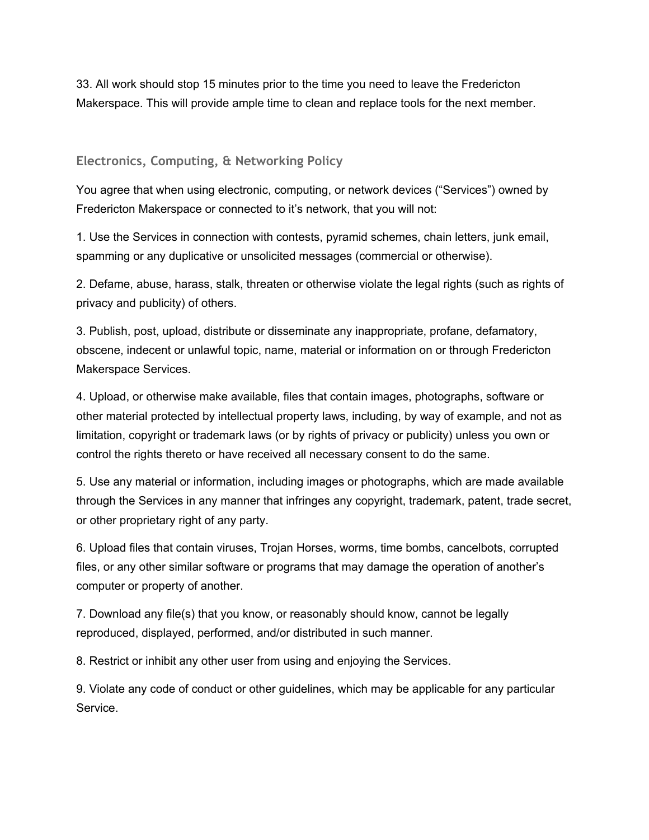33. All work should stop 15 minutes prior to the time you need to leave the Fredericton Makerspace. This will provide ample time to clean and replace tools for the next member.

#### **Electronics, Computing, & Networking Policy**

You agree that when using electronic, computing, or network devices ("Services") owned by Fredericton Makerspace or connected to it's network, that you will not:

1. Use the Services in connection with contests, pyramid schemes, chain letters, junk email, spamming or any duplicative or unsolicited messages (commercial or otherwise).

2. Defame, abuse, harass, stalk, threaten or otherwise violate the legal rights (such as rights of privacy and publicity) of others.

3. Publish, post, upload, distribute or disseminate any inappropriate, profane, defamatory, obscene, indecent or unlawful topic, name, material or information on or through Fredericton Makerspace Services.

4. Upload, or otherwise make available, files that contain images, photographs, software or other material protected by intellectual property laws, including, by way of example, and not as limitation, copyright or trademark laws (or by rights of privacy or publicity) unless you own or control the rights thereto or have received all necessary consent to do the same.

5. Use any material or information, including images or photographs, which are made available through the Services in any manner that infringes any copyright, trademark, patent, trade secret, or other proprietary right of any party.

6. Upload files that contain viruses, Trojan Horses, worms, time bombs, cancelbots, corrupted files, or any other similar software or programs that may damage the operation of another's computer or property of another.

7. Download any file(s) that you know, or reasonably should know, cannot be legally reproduced, displayed, performed, and/or distributed in such manner.

8. Restrict or inhibit any other user from using and enjoying the Services.

9. Violate any code of conduct or other guidelines, which may be applicable for any particular Service.